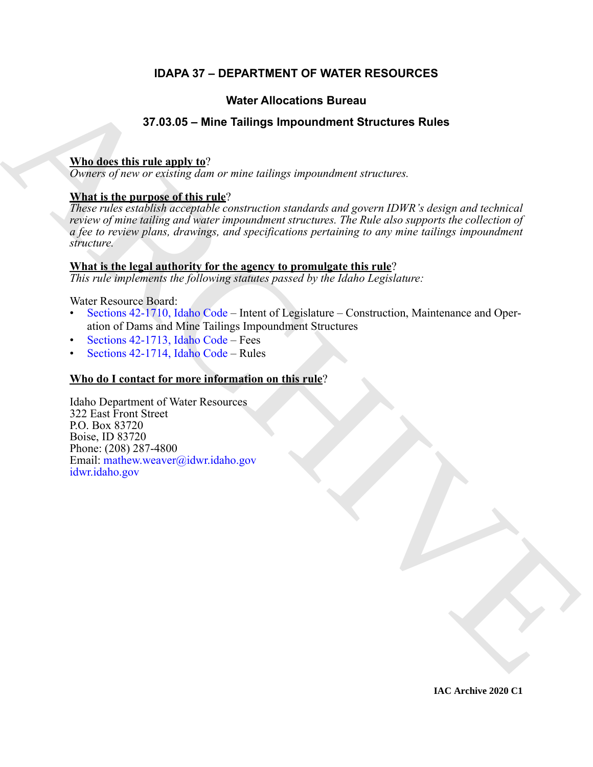## **IDAPA 37 – DEPARTMENT OF WATER RESOURCES**

## **Water Allocations Bureau**

## **37.03.05 – Mine Tailings Impoundment Structures Rules**

## **Who does this rule apply to**?

*Owners of new or existing dam or mine tailings impoundment structures.*

## **What is the purpose of this rule**?

Water Allocations Bureau<br>
37.03.05 = Mine Tailings impoundment Structures [R](https://legislature.idaho.gov/statutesrules/idstat/Title42/T42CH17/SECT42-1710/)ules<br>
While detain the narroge affective crisis using the procedures at recisions:<br>
Thus in the narroge affective crisis using the constrained and *These rules establish acceptable construction standards and govern IDWR's design and technical review of mine tailing and water impoundment structures. The Rule also supports the collection of a fee to review plans, drawings, and specifications pertaining to any mine tailings impoundment structure.*

## **What is the legal authority for the agency to promulgate this rule**?

*This rule implements the following statutes passed by the Idaho Legislature:*

Water Resource Board:

- Sections 42-1710, Idaho Code Intent of Legislature Construction, Maintenance and Operation of Dams and Mine Tailings Impoundment Structures
- Sections 42-1713, Idaho Code Fees
- Sections 42-1714, Idaho Code Rules

## **Who do I contact for more information on this rule**?

Idaho Department of Water Resources 322 East Front Street P.O. Box 83720 Boise, ID 83720 Phone: (208) 287-4800 Email: mathew.weaver@idwr.idaho.gov idwr.idaho.gov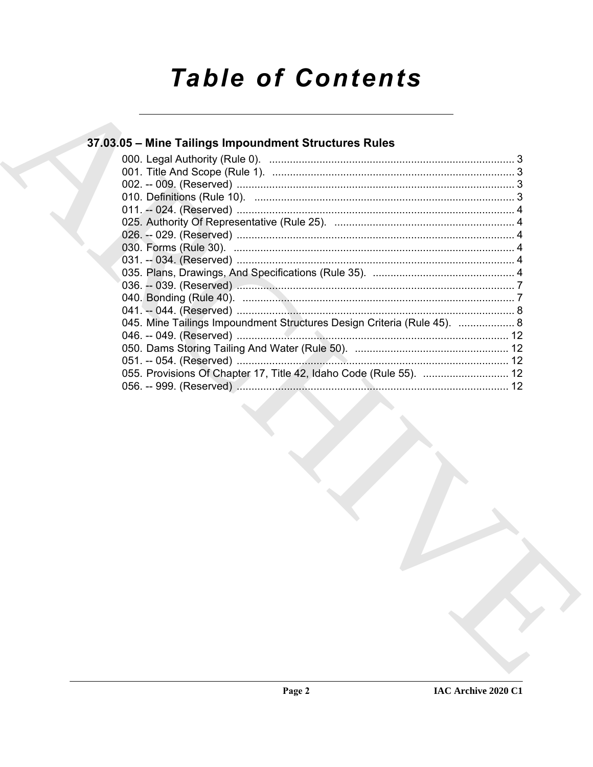## **Table of Contents**

## 37.03.05 - Mine Tailings Impoundment Structures Rules

| 045. Mine Tailings Impoundment Structures Design Criteria (Rule 45).  8 |  |
|-------------------------------------------------------------------------|--|
|                                                                         |  |
|                                                                         |  |
|                                                                         |  |
| 055. Provisions Of Chapter 17, Title 42, Idaho Code (Rule 55).  12      |  |
|                                                                         |  |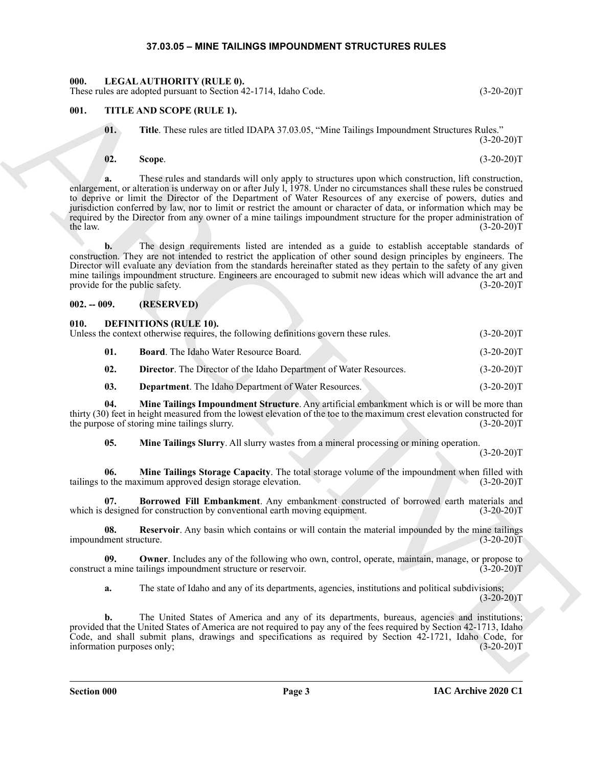## **37.03.05 – MINE TAILINGS IMPOUNDMENT STRUCTURES RULES**

<span id="page-2-15"></span><span id="page-2-1"></span><span id="page-2-0"></span>**000. LEGAL AUTHORITY (RULE 0).**

## <span id="page-2-16"></span><span id="page-2-2"></span>**001. TITLE AND SCOPE (RULE 1).**

## <span id="page-2-3"></span>**002. -- 009. (RESERVED)**

### <span id="page-2-14"></span><span id="page-2-13"></span><span id="page-2-12"></span><span id="page-2-11"></span><span id="page-2-10"></span><span id="page-2-9"></span><span id="page-2-8"></span><span id="page-2-7"></span><span id="page-2-6"></span><span id="page-2-5"></span><span id="page-2-4"></span>**010. DEFINITIONS (RULE 10).**

|                        |     | These rules are adopted pursuant to Section 42-1714, Idaho Code.                                                                                                                                                                                                                                                                                                                                                                                                                                                                                                                          | $(3-20-20)T$ |
|------------------------|-----|-------------------------------------------------------------------------------------------------------------------------------------------------------------------------------------------------------------------------------------------------------------------------------------------------------------------------------------------------------------------------------------------------------------------------------------------------------------------------------------------------------------------------------------------------------------------------------------------|--------------|
| 001.                   |     | TITLE AND SCOPE (RULE 1).                                                                                                                                                                                                                                                                                                                                                                                                                                                                                                                                                                 |              |
|                        | 01. | Title. These rules are titled IDAPA 37.03.05, "Mine Tailings Impoundment Structures Rules."                                                                                                                                                                                                                                                                                                                                                                                                                                                                                               | $(3-20-20)T$ |
|                        | 02. | Scope.                                                                                                                                                                                                                                                                                                                                                                                                                                                                                                                                                                                    | $(3-20-20)T$ |
| the law.               |     | These rules and standards will only apply to structures upon which construction, lift construction,<br>enlargement, or alteration is underway on or after July 1, 1978. Under no circumstances shall these rules be construed<br>to deprive or limit the Director of the Department of Water Resources of any exercise of powers, duties and<br>jurisdiction conferred by law, nor to limit or restrict the amount or character of data, or information which may be<br>required by the Director from any owner of a mine tailings impoundment structure for the proper administration of | $(3-20-20)T$ |
|                        | b.  | The design requirements listed are intended as a guide to establish acceptable standards of<br>construction. They are not intended to restrict the application of other sound design principles by engineers. The<br>Director will evaluate any deviation from the standards hereinafter stated as they pertain to the safety of any given<br>mine tailings impoundment structure. Engineers are encouraged to submit new ideas which will advance the art and<br>provide for the public safety.                                                                                          | $(3-20-20)T$ |
| $002. - 009.$          |     | (RESERVED)                                                                                                                                                                                                                                                                                                                                                                                                                                                                                                                                                                                |              |
| 010.                   |     | <b>DEFINITIONS (RULE 10).</b><br>Unless the context otherwise requires, the following definitions govern these rules.                                                                                                                                                                                                                                                                                                                                                                                                                                                                     | $(3-20-20)T$ |
|                        | 01. | <b>Board.</b> The Idaho Water Resource Board.                                                                                                                                                                                                                                                                                                                                                                                                                                                                                                                                             | $(3-20-20)T$ |
|                        | 02. | Director. The Director of the Idaho Department of Water Resources.                                                                                                                                                                                                                                                                                                                                                                                                                                                                                                                        | $(3-20-20)T$ |
|                        | 03. | <b>Department</b> . The Idaho Department of Water Resources.                                                                                                                                                                                                                                                                                                                                                                                                                                                                                                                              | $(3-20-20)T$ |
|                        | 04. | Mine Tailings Impoundment Structure. Any artificial embankment which is or will be more than<br>thirty (30) feet in height measured from the lowest elevation of the toe to the maximum crest elevation constructed for<br>the purpose of storing mine tailings slurry.                                                                                                                                                                                                                                                                                                                   | $(3-20-20)T$ |
|                        | 05. | Mine Tailings Slurry. All slurry wastes from a mineral processing or mining operation.                                                                                                                                                                                                                                                                                                                                                                                                                                                                                                    | $(3-20-20)T$ |
|                        | 06. | Mine Tailings Storage Capacity. The total storage volume of the impoundment when filled with<br>tailings to the maximum approved design storage elevation.                                                                                                                                                                                                                                                                                                                                                                                                                                | $(3-20-20)T$ |
|                        | 07. | Borrowed Fill Embankment. Any embankment constructed of borrowed earth materials and<br>which is designed for construction by conventional earth moving equipment.                                                                                                                                                                                                                                                                                                                                                                                                                        | $(3-20-20)T$ |
| impoundment structure. | 08. | Reservoir. Any basin which contains or will contain the material impounded by the mine tailings                                                                                                                                                                                                                                                                                                                                                                                                                                                                                           | $(3-20-20)T$ |
|                        | 09. | <b>Owner</b> . Includes any of the following who own, control, operate, maintain, manage, or propose to<br>construct a mine tailings impoundment structure or reservoir.                                                                                                                                                                                                                                                                                                                                                                                                                  | $(3-20-20)T$ |
|                        | a.  | The state of Idaho and any of its departments, agencies, institutions and political subdivisions;                                                                                                                                                                                                                                                                                                                                                                                                                                                                                         | $(3-20-20)T$ |
|                        | b.  | The United States of America and any of its departments, bureaus, agencies and institutions;<br>provided that the United States of America are not required to pay any of the fees required by Section 42-1713, Idaho<br>Code, and shall submit plans, drawings and specifications as required by Section 42-1721, Idaho Code, for<br>information purposes only;                                                                                                                                                                                                                          | $(3-20-20)T$ |
|                        |     |                                                                                                                                                                                                                                                                                                                                                                                                                                                                                                                                                                                           |              |
|                        |     |                                                                                                                                                                                                                                                                                                                                                                                                                                                                                                                                                                                           |              |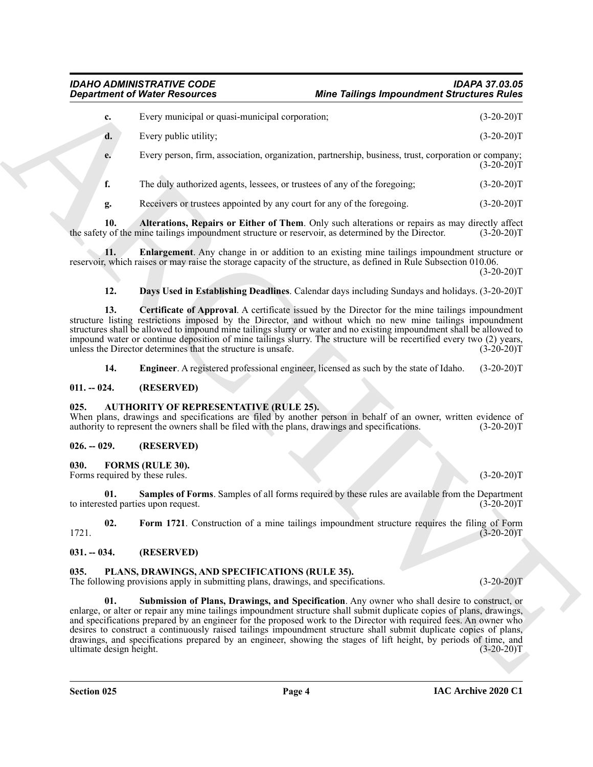<span id="page-3-7"></span>*IDAHO ADMINISTRATIVE CODE IDAPA 37.03.05 Mine Tailings Impoundment Structures Rules* 

|                                            | <b>Department of Water Resources</b>                                                                                                                                                                                                                                                                                                                                                                                                                                                                                                                                                 | <b>Mine Tailings Impoundment Structures Rules</b> |              |
|--------------------------------------------|--------------------------------------------------------------------------------------------------------------------------------------------------------------------------------------------------------------------------------------------------------------------------------------------------------------------------------------------------------------------------------------------------------------------------------------------------------------------------------------------------------------------------------------------------------------------------------------|---------------------------------------------------|--------------|
| c.                                         | Every municipal or quasi-municipal corporation;                                                                                                                                                                                                                                                                                                                                                                                                                                                                                                                                      |                                                   | $(3-20-20)T$ |
| d.                                         | Every public utility;                                                                                                                                                                                                                                                                                                                                                                                                                                                                                                                                                                |                                                   | $(3-20-20)T$ |
| e.                                         | Every person, firm, association, organization, partnership, business, trust, corporation or company;                                                                                                                                                                                                                                                                                                                                                                                                                                                                                 |                                                   | $(3-20-20)T$ |
| f.                                         | The duly authorized agents, lessees, or trustees of any of the foregoing;                                                                                                                                                                                                                                                                                                                                                                                                                                                                                                            |                                                   | $(3-20-20)T$ |
| g.                                         | Receivers or trustees appointed by any court for any of the foregoing.                                                                                                                                                                                                                                                                                                                                                                                                                                                                                                               |                                                   | $(3-20-20)T$ |
| 10.                                        | Alterations, Repairs or Either of Them. Only such alterations or repairs as may directly affect<br>the safety of the mine tailings impoundment structure or reservoir, as determined by the Director.                                                                                                                                                                                                                                                                                                                                                                                |                                                   | $(3-20-20)T$ |
| 11.                                        | Enlargement. Any change in or addition to an existing mine tailings impoundment structure or<br>reservoir, which raises or may raise the storage capacity of the structure, as defined in Rule Subsection 010.06.                                                                                                                                                                                                                                                                                                                                                                    |                                                   | $(3-20-20)T$ |
| 12.                                        | Days Used in Establishing Deadlines. Calendar days including Sundays and holidays. (3-20-20)T                                                                                                                                                                                                                                                                                                                                                                                                                                                                                        |                                                   |              |
| 13.                                        | Certificate of Approval. A certificate issued by the Director for the mine tailings impoundment<br>structure listing restrictions imposed by the Director, and without which no new mine tailings impoundment<br>structures shall be allowed to impound mine tailings slurry or water and no existing impoundment shall be allowed to<br>impound water or continue deposition of mine tailings slurry. The structure will be recertified every two (2) years,<br>unless the Director determines that the structure is unsafe.                                                        |                                                   | $(3-20-20)T$ |
| 14.                                        | <b>Engineer.</b> A registered professional engineer, licensed as such by the state of Idaho.                                                                                                                                                                                                                                                                                                                                                                                                                                                                                         |                                                   | $(3-20-20)T$ |
| $011. - 024.$                              | (RESERVED)                                                                                                                                                                                                                                                                                                                                                                                                                                                                                                                                                                           |                                                   |              |
| 025.                                       | <b>AUTHORITY OF REPRESENTATIVE (RULE 25).</b><br>When plans, drawings and specifications are filed by another person in behalf of an owner, written evidence of<br>authority to represent the owners shall be filed with the plans, drawings and specifications.                                                                                                                                                                                                                                                                                                                     |                                                   | $(3-20-20)T$ |
| $026. - 029.$                              | (RESERVED)                                                                                                                                                                                                                                                                                                                                                                                                                                                                                                                                                                           |                                                   |              |
| 030.<br>Forms required by these rules.     | <b>FORMS (RULE 30).</b>                                                                                                                                                                                                                                                                                                                                                                                                                                                                                                                                                              |                                                   | $(3-20-20)T$ |
| 01.<br>to interested parties upon request. | Samples of Forms. Samples of all forms required by these rules are available from the Department                                                                                                                                                                                                                                                                                                                                                                                                                                                                                     |                                                   | $(3-20-20)T$ |
| 02.<br>1721.                               | Form 1721. Construction of a mine tailings impoundment structure requires the filing of Form                                                                                                                                                                                                                                                                                                                                                                                                                                                                                         |                                                   | $(3-20-20)T$ |
| $031. - 034.$                              | (RESERVED)                                                                                                                                                                                                                                                                                                                                                                                                                                                                                                                                                                           |                                                   |              |
| 035.                                       | PLANS, DRAWINGS, AND SPECIFICATIONS (RULE 35).<br>The following provisions apply in submitting plans, drawings, and specifications.                                                                                                                                                                                                                                                                                                                                                                                                                                                  |                                                   | $(3-20-20)T$ |
| 01.<br>ultimate design height.             | Submission of Plans, Drawings, and Specification. Any owner who shall desire to construct, or<br>enlarge, or alter or repair any mine tailings impoundment structure shall submit duplicate copies of plans, drawings,<br>and specifications prepared by an engineer for the proposed work to the Director with required fees. An owner who<br>desires to construct a continuously raised tailings impoundment structure shall submit duplicate copies of plans,<br>drawings, and specifications prepared by an engineer, showing the stages of lift height, by periods of time, and |                                                   | $(3-20-20)T$ |
|                                            |                                                                                                                                                                                                                                                                                                                                                                                                                                                                                                                                                                                      |                                                   |              |

## <span id="page-3-11"></span><span id="page-3-10"></span><span id="page-3-9"></span><span id="page-3-8"></span><span id="page-3-0"></span>**011. -- 024. (RESERVED)**

## <span id="page-3-6"></span><span id="page-3-1"></span>**025. AUTHORITY OF REPRESENTATIVE (RULE 25).**

## <span id="page-3-14"></span><span id="page-3-12"></span><span id="page-3-3"></span><span id="page-3-2"></span>**026. -- 029. (RESERVED)**

## <span id="page-3-13"></span><span id="page-3-4"></span>**031. -- 034. (RESERVED)**

## <span id="page-3-16"></span><span id="page-3-15"></span><span id="page-3-5"></span>**035. PLANS, DRAWINGS, AND SPECIFICATIONS (RULE 35).**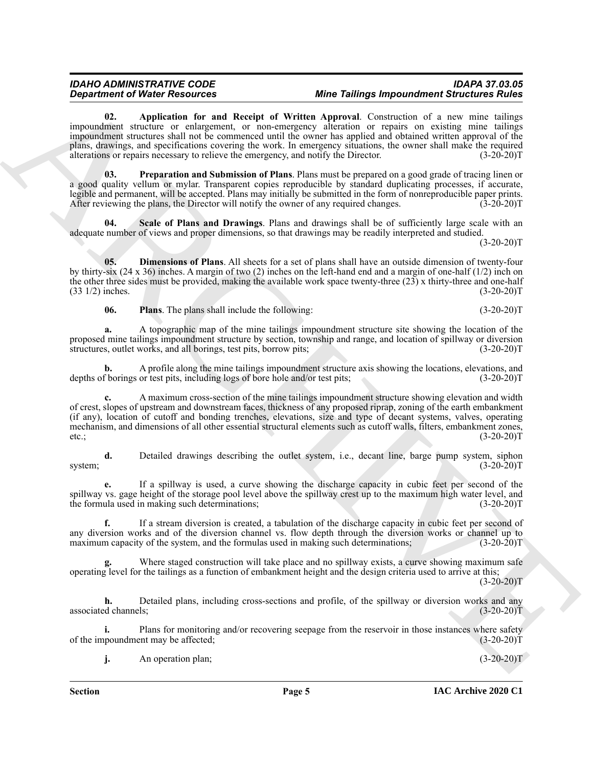## <span id="page-4-0"></span>*IDAHO ADMINISTRATIVE CODE IDAPA 37.03.05 Mine Tailings Impoundment Structures Rules*

**Expansion of New York also see that the United States are not the United States and the United States are not the United States and the United States and the United States and the United States are not the United States 02. Application for and Receipt of Written Approval**. Construction of a new mine tailings impoundment structure or enlargement, or non-emergency alteration or repairs on existing mine tailings impoundment structures shall not be commenced until the owner has applied and obtained written approval of the plans, drawings, and specifications covering the work. In emergency situations, the owner shall make the required alterations or repairs necessary to relieve the emergency, and notify the Director. (3-20-20)T

<span id="page-4-3"></span>**03. Preparation and Submission of Plans**. Plans must be prepared on a good grade of tracing linen or a good quality vellum or mylar. Transparent copies reproducible by standard duplicating processes, if accurate, legible and permanent, will be accepted. Plans may initially be submitted in the form of nonreproducible paper prints. After reviewing the plans, the Director will notify the owner of any required changes. (3-20-20) After reviewing the plans, the Director will notify the owner of any required changes.

<span id="page-4-4"></span>Scale of Plans and Drawings. Plans and drawings shall be of sufficiently large scale with an adequate number of views and proper dimensions, so that drawings may be readily interpreted and studied.

 $(3-20-20)T$ 

**05. Dimensions of Plans**. All sheets for a set of plans shall have an outside dimension of twenty-four by thirty-six (24 x 36) inches. A margin of two (2) inches on the left-hand end and a margin of one-half (1/2) inch on the other three sides must be provided, making the available work space twenty-three (23) x thirty-three and one-half  $(3.3 \frac{1}{2})$  inches.  $(3-20-20)$ T

<span id="page-4-2"></span><span id="page-4-1"></span>**06.** Plans. The plans shall include the following: (3-20-20)T

**a.** A topographic map of the mine tailings impoundment structure site showing the location of the proposed mine tailings impoundment structure by section, township and range, and location of spillway or diversion structures, outlet works, and all borings, test pits, borrow pits; (3-20-20)T

**b.** A profile along the mine tailings impoundment structure axis showing the locations, elevations, and f borings or test pits, including logs of bore hole and/or test pits; (3-20-20) depths of borings or test pits, including logs of bore hole and/or test pits;

**c.** A maximum cross-section of the mine tailings impoundment structure showing elevation and width of crest, slopes of upstream and downstream faces, thickness of any proposed riprap, zoning of the earth embankment (if any), location of cutoff and bonding trenches, elevations, size and type of decant systems, valves, operating mechanism, and dimensions of all other essential structural elements such as cutoff walls, filters, embankment zones, etc.;  $(3-20-20)T$ 

**d.** Detailed drawings describing the outlet system, i.e., decant line, barge pump system, siphon (3-20-20) system;  $(3-20-20)T$ 

**e.** If a spillway is used, a curve showing the discharge capacity in cubic feet per second of the spillway vs. gage height of the storage pool level above the spillway crest up to the maximum high water level, and the formula used in making such determinations; (3-20-20)T

**f.** If a stream diversion is created, a tabulation of the discharge capacity in cubic feet per second of any diversion works and of the diversion channel vs. flow depth through the diversion works or channel up to maximum capacity of the system, and the formulas used in making such determinations;  $(3-20-20)T$ 

Where staged construction will take place and no spillway exists, a curve showing maximum safe operating level for the tailings as a function of embankment height and the design criteria used to arrive at this;

 $(3-20-20)T$ 

**h.** Detailed plans, including cross-sections and profile, of the spillway or diversion works and any associated channels; (3-20-20)T

**i.** Plans for monitoring and/or recovering seepage from the reservoir in those instances where safety poundment may be affected; (3-20-20) of the impoundment may be affected;

**j.** An operation plan; (3-20-20)T

**Section Page 5**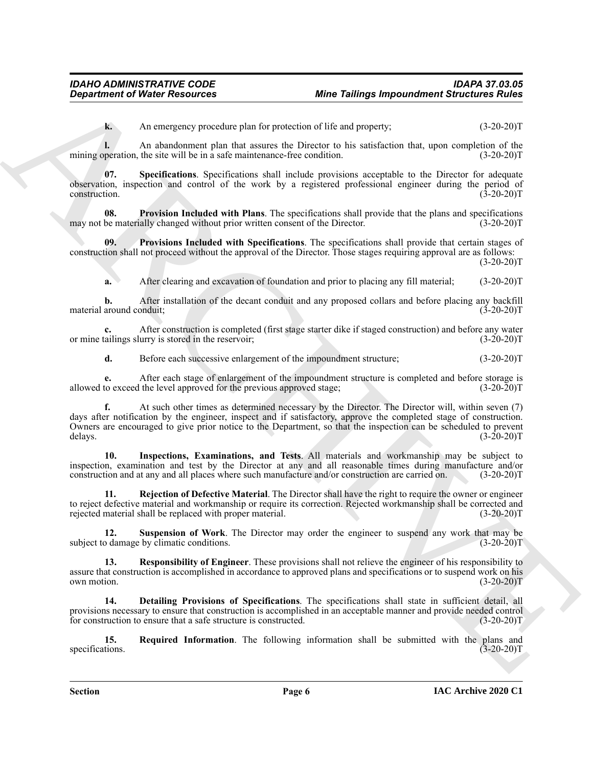<span id="page-5-7"></span>**k.** An emergency procedure plan for protection of life and property;  $(3-20-20)T$ 

**l.** An abandonment plan that assures the Director to his satisfaction that, upon completion of the mining operation, the site will be in a safe maintenance-free condition. (3-20-20)T

**07. Specifications**. Specifications shall include provisions acceptable to the Director for adequate observation, inspection and control of the work by a registered professional engineer during the period of construction. (3-20-20)T

<span id="page-5-2"></span>**08. Provision Included with Plans**. The specifications shall provide that the plans and specifications may not be materially changed without prior written consent of the Director. (3-20-20)T

**09. Provisions Included with Specifications**. The specifications shall provide that certain stages of construction shall not proceed without the approval of the Director. Those stages requiring approval are as follows:

 $(3-20-20)T$ 

<span id="page-5-3"></span>**a.** After clearing and excavation of foundation and prior to placing any fill material; (3-20-20)T

**b.** After installation of the decant conduit and any proposed collars and before placing any backfill material around conduit;  $(3-20-20)$ T

**c.** After construction is completed (first stage starter dike if staged construction) and before any water or mine tailings slurry is stored in the reservoir; (3-20-20)T

**d.** Before each successive enlargement of the impoundment structure; (3-20-20)T

**e.** After each stage of enlargement of the impoundment structure is completed and before storage is to exceed the level approved for the previous approved stage; (3-20-20) allowed to exceed the level approved for the previous approved stage;

**Department of Nicele Research examples and the Unitel Patition Research Structures Ratio<br>
An energy providence plus to make the Barchive and European Structures of the European Structures and the European Structures and f.** At such other times as determined necessary by the Director. The Director will, within seven (7) days after notification by the engineer, inspect and if satisfactory, approve the completed stage of construction. Owners are encouraged to give prior notice to the Department, so that the inspection can be scheduled to prevent delays.  $(3-20-20)T$ 

<span id="page-5-1"></span>**10. Inspections, Examinations, and Tests**. All materials and workmanship may be subject to inspection, examination and test by the Director at any and all reasonable times during manufacture and/or construction and at any and all places where such manufacture and/or construction are carried on. (3-20-20)T

<span id="page-5-4"></span>**11. Rejection of Defective Material**. The Director shall have the right to require the owner or engineer to reject defective material and workmanship or require its correction. Rejected workmanship shall be corrected and rejected material shall be replaced with proper material. (3-20-20)T

<span id="page-5-8"></span>**12. Suspension of Work**. The Director may order the engineer to suspend any work that may be subject to damage by climatic conditions. (3-20-20)T

<span id="page-5-6"></span>**13. Responsibility of Engineer**. These provisions shall not relieve the engineer of his responsibility to assure that construction is accomplished in accordance to approved plans and specifications or to suspend work on his own motion. (3-20-20)T

<span id="page-5-0"></span>**14. Detailing Provisions of Specifications**. The specifications shall state in sufficient detail, all provisions necessary to ensure that construction is accomplished in an acceptable manner and provide needed control for construction to ensure that a safe structure is constructed. (3-20-20)T

<span id="page-5-5"></span>**15. Required Information**. The following information shall be submitted with the plans and tions. (3-20-20)T specifications.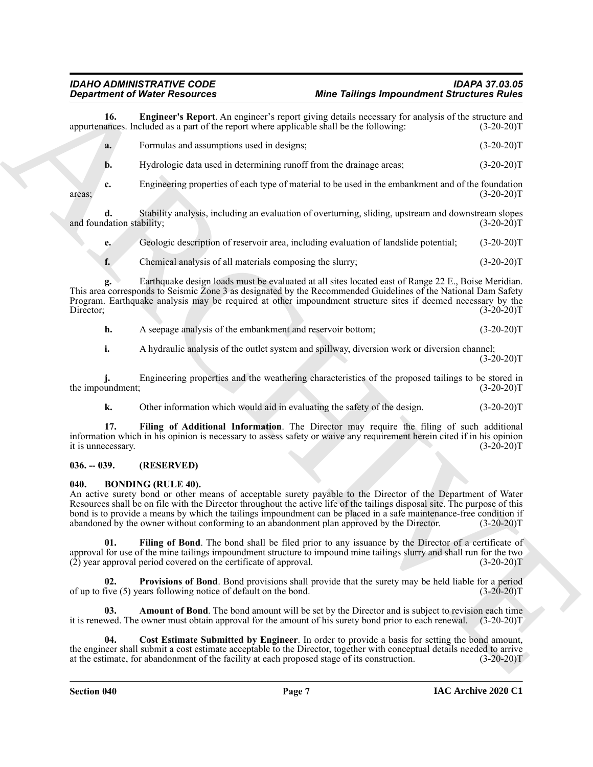<span id="page-6-7"></span>

|                                 | <b>Department of Water Resources</b>                                                                                                                                                                                                                                                                                                                                                                                                                                                                   | <b>Mine Tailings Impoundment Structures Rules</b> |              |
|---------------------------------|--------------------------------------------------------------------------------------------------------------------------------------------------------------------------------------------------------------------------------------------------------------------------------------------------------------------------------------------------------------------------------------------------------------------------------------------------------------------------------------------------------|---------------------------------------------------|--------------|
| 16.                             | <b>Engineer's Report.</b> An engineer's report giving details necessary for analysis of the structure and<br>appurtenances. Included as a part of the report where applicable shall be the following:                                                                                                                                                                                                                                                                                                  |                                                   | $(3-20-20)T$ |
| a.                              | Formulas and assumptions used in designs;                                                                                                                                                                                                                                                                                                                                                                                                                                                              |                                                   | $(3-20-20)T$ |
| b.                              | Hydrologic data used in determining runoff from the drainage areas;                                                                                                                                                                                                                                                                                                                                                                                                                                    |                                                   | $(3-20-20)T$ |
| c.<br>areas;                    | Engineering properties of each type of material to be used in the embankment and of the foundation                                                                                                                                                                                                                                                                                                                                                                                                     |                                                   | $(3-20-20)T$ |
| d.<br>and foundation stability; | Stability analysis, including an evaluation of overturning, sliding, upstream and downstream slopes                                                                                                                                                                                                                                                                                                                                                                                                    |                                                   | $(3-20-20)T$ |
| e.                              | Geologic description of reservoir area, including evaluation of landslide potential;                                                                                                                                                                                                                                                                                                                                                                                                                   |                                                   | $(3-20-20)T$ |
| f.                              | Chemical analysis of all materials composing the slurry;                                                                                                                                                                                                                                                                                                                                                                                                                                               |                                                   | $(3-20-20)T$ |
| g.<br>Director;                 | Earthquake design loads must be evaluated at all sites located east of Range 22 E., Boise Meridian.<br>This area corresponds to Seismic Zone 3 as designated by the Recommended Guidelines of the National Dam Safety<br>Program. Earthquake analysis may be required at other impoundment structure sites if deemed necessary by the                                                                                                                                                                  |                                                   | $(3-20-20)T$ |
| h.                              | A seepage analysis of the embankment and reservoir bottom;                                                                                                                                                                                                                                                                                                                                                                                                                                             |                                                   | $(3-20-20)T$ |
| i.                              | A hydraulic analysis of the outlet system and spillway, diversion work or diversion channel;                                                                                                                                                                                                                                                                                                                                                                                                           |                                                   | $(3-20-20)T$ |
| the impoundment;                | Engineering properties and the weathering characteristics of the proposed tailings to be stored in                                                                                                                                                                                                                                                                                                                                                                                                     |                                                   | $(3-20-20)T$ |
| k.                              | Other information which would aid in evaluating the safety of the design.                                                                                                                                                                                                                                                                                                                                                                                                                              |                                                   | $(3-20-20)T$ |
| 17.<br>it is unnecessary.       | Filing of Additional Information. The Director may require the filing of such additional<br>information which in his opinion is necessary to assess safety or waive any requirement herein cited if in his opinion                                                                                                                                                                                                                                                                                     |                                                   | $(3-20-20)T$ |
| $036. - 039.$                   | (RESERVED)                                                                                                                                                                                                                                                                                                                                                                                                                                                                                             |                                                   |              |
| 040.                            | <b>BONDING (RULE 40).</b><br>An active surety bond or other means of acceptable surety payable to the Director of the Department of Water<br>Resources shall be on file with the Director throughout the active life of the tailings disposal site. The purpose of this<br>bond is to provide a means by which the tailings impoundment can be placed in a safe maintenance-free condition if<br>abandoned by the owner without conforming to an abandonment plan approved by the Director. (3-20-20)T |                                                   |              |
| 01.                             | Filing of Bond. The bond shall be filed prior to any issuance by the Director of a certificate of<br>approval for use of the mine tailings impoundment structure to impound mine tailings slurry and shall run for the two<br>$(\overline{2})$ year approval period covered on the certificate of approval.                                                                                                                                                                                            |                                                   | $(3-20-20)T$ |
| 02.                             | Provisions of Bond. Bond provisions shall provide that the surety may be held liable for a period<br>of up to five (5) years following notice of default on the bond.                                                                                                                                                                                                                                                                                                                                  |                                                   | $(3-20-20)T$ |
| 03.                             | <b>Amount of Bond</b> . The bond amount will be set by the Director and is subject to revision each time<br>it is renewed. The owner must obtain approval for the amount of his surety bond prior to each renewal.                                                                                                                                                                                                                                                                                     |                                                   | $(3-20-20)T$ |
| 04.                             | Cost Estimate Submitted by Engineer. In order to provide a basis for setting the bond amount,<br>the engineer shall submit a cost estimate acceptable to the Director, together with conceptual details needed to arrive<br>at the estimate, for abandonment of the facility at each proposed stage of its construction.                                                                                                                                                                               |                                                   | $(3-20-20)T$ |
|                                 |                                                                                                                                                                                                                                                                                                                                                                                                                                                                                                        |                                                   |              |

## <span id="page-6-8"></span><span id="page-6-0"></span>**036. -- 039. (RESERVED)**

## <span id="page-6-6"></span><span id="page-6-5"></span><span id="page-6-4"></span><span id="page-6-3"></span><span id="page-6-2"></span><span id="page-6-1"></span>**040. BONDING (RULE 40).**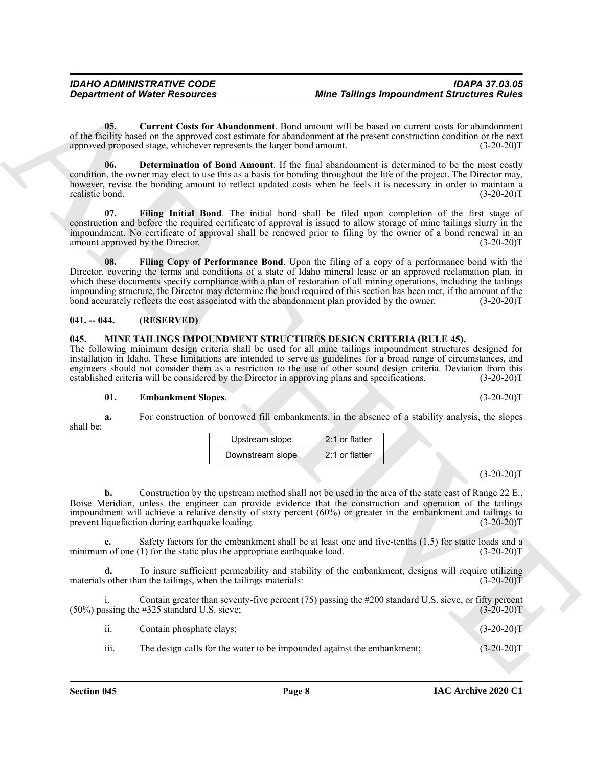## **IAC Archive 2020 C1**

**d.** To insure sufficient permeability and stability of the embankment, designs will require utilizing

materials other than the tailings, when the tailings materials:  $(3-20-20)\overline{T}$ 

i. Contain greater than seventy-five percent (75) passing the #200 standard U.S. sieve, or fifty percent

 $(50\%)$  passing the #325 standard U.S. sieve; (3-20-20)T

ii. Contain phosphate clays; (3-20-20)T

iii. The design calls for the water to be impounded against the embankment;  $(3-20-20)$ T

impoundment will achieve a relative density of sixty percent (60%) or greater in the embankment and tailings to prevent liquefaction during earthquake loading. (3-20-20)T **c.** Safety factors for the embankment shall be at least one and five-tenths (1.5) for static loads and a minimum of one (1) for the static plus the appropriate earthquake load. (3-20-20)T

 $(3-20-20)T$ **b.** Construction by the upstream method shall not be used in the area of the state east of Range 22 E., Boise Meridian, unless the engineer can provide evidence that the construction and operation of the tailings

shall be: Upstream slope 2:1 or flatter

<span id="page-7-7"></span>

| <b>pankment Slopes.</b>                                  |  |  |
|----------------------------------------------------------|--|--|
| construction of borrowed fill embankments, in the absenc |  |  |

**01. Embankment Slopes**. (3-20-20)T **a.** For construction of borrowed fill embankments, in the absence of a stability analysis, the slopes

<span id="page-7-6"></span>

| <b>MINE TAILINGS IMPOUNDMENT STRUCTURES DESIG</b>                 |  |  |
|-------------------------------------------------------------------|--|--|
| owing minimum design criteria shall be used for all mine taili    |  |  |
| on in Idaho. These limitations are intended to serve as guideline |  |  |

**Department of Nicele Research Exchange Internal Exchange Internal Structures Rating<br>
of the Solicy Control of the European Control of the European Control of the European Control of the European Control of the European C** impounding structure, the Director may determine the bond required of this section has been met, if the amount of the bond accurately reflects the cost associated with the abandonment plan provided by the owner. (3-20-20)T **041. -- 044. (RESERVED)**

<span id="page-7-1"></span><span id="page-7-0"></span>**045. MINE TAILINGS IMPOUNDMENT STRUCTURES DESIGN CRITERIA (RULE 45).** The following minimum design criteria shall be used for all mine tailings impoundment structures The following minimum design criteria shall be used for all mine tailings impoundment structures designed for installation in Idaho. These limitations are intended to serve as guidelines for a broad range of circumstances, es for a broad range of circumstances, and engineers should not consider them as a restriction to the use of other sound design criteria. Deviation from this established criteria will be considered by the Director in approving plans and specifications. (3-20-20)T established criteria will be considered by the Director in approving plans and specifications.

<span id="page-7-2"></span>**05. Current Costs for Abandonment**. Bond amount will be based on current costs for abandonment of the facility based on the approved cost estimate for abandonment at the present construction condition or the next<br>(3-20-20)T (3-20-20)T approved proposed stage, whichever represents the larger bond amount.

## **06. Determination of Bond Amount**. If the final abandonment is determined to be the most costly condition, the owner may elect to use this as a basis for bonding throughout the life of the project. The Director may, however, revise the bonding amount to reflect updated costs when he feels it is necessary in order to maintain a

realistic bond. (3-20-20)T **07. Filing Initial Bond**. The initial bond shall be filed upon completion of the first stage of construction and before the required certificate of approval is issued to allow storage of mine tailings slurry in the impoundment. No certificate of approval shall be renewed prior to filing by the owner of a bond renewal in an

amount approved by the Director. (3-20-20)T

Director, covering the terms and conditions of a state of Idaho mineral lease or an approved reclamation plan, in which these documents specify compliance with a plan of restoration of all mining operations, including the tailings

<span id="page-7-5"></span><span id="page-7-4"></span>**08. Filing Copy of Performance Bond**. Upon the filing of a copy of a performance bond with the

<span id="page-7-3"></span>

*IDAHO ADMINISTRATIVE CODE IDAPA 37.03.05 Mine Tailings Impoundment Structures Rules* 

| Upstream slope   | 2:1 or flatter |
|------------------|----------------|
| Downstream slope | 2:1 or flatter |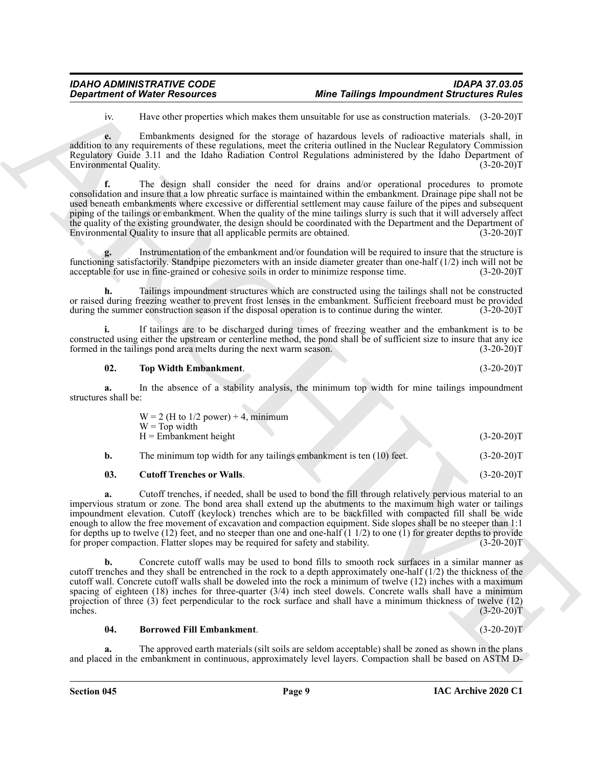iv. Have other properties which makes them unsuitable for use as construction materials. (3-20-20)T

**e.** Embankments designed for the storage of hazardous levels of radioactive materials shall, in addition to any requirements of these regulations, meet the criteria outlined in the Nuclear Regulatory Commission Regulatory Guide 3.11 and the Idaho Radiation Control Regulations administered by the Idaho Department of Environmental Quality. (3-20-20)T

**Department of Water Resources**<br>
For Distribution of the transformation of the transformation of the state of the state of the state of the state of the state of the state of the state of the state of the state of the sta **f.** The design shall consider the need for drains and/or operational procedures to promote consolidation and insure that a low phreatic surface is maintained within the embankment. Drainage pipe shall not be used beneath embankments where excessive or differential settlement may cause failure of the pipes and subsequent piping of the tailings or embankment. When the quality of the mine tailings slurry is such that it will adversely affect the quality of the existing groundwater, the design should be coordinated with the Department and the Department of Environmental Quality to insure that all applicable permits are obtained. (3-20-20) Environmental Quality to insure that all applicable permits are obtained.

**g.** Instrumentation of the embankment and/or foundation will be required to insure that the structure is functioning satisfactorily. Standpipe piezometers with an inside diameter greater than one-half (1/2) inch will not be acceptable for use in fine-grained or cohesive soils in order to minimize response time. (3-20-20)T acceptable for use in fine-grained or cohesive soils in order to minimize response time.

**h.** Tailings impoundment structures which are constructed using the tailings shall not be constructed or raised during freezing weather to prevent frost lenses in the embankment. Sufficient freeboard must be provided during the summer construction season if the disposal operation is to continue during the winter. (3-20-20)T

**i.** If tailings are to be discharged during times of freezing weather and the embankment is to be constructed using either the upstream or centerline method, the pond shall be of sufficient size to insure that any ice formed in the tailings pond area melts during the next warm season. (3-20-20)T

## <span id="page-8-2"></span>**02. Top Width Embankment**. (3-20-20)T

**a.** In the absence of a stability analysis, the minimum top width for mine tailings impoundment structures shall be:

<span id="page-8-1"></span>

| b.<br>03. | The minimum top width for any tailings embankment is ten (10) feet.<br><b>Cutoff Trenches or Walls.</b> | $(3-20-20)T$<br>$(3-20-20)T$ |
|-----------|---------------------------------------------------------------------------------------------------------|------------------------------|
|           | $W = Top$ width<br>$H =$ Embankment height                                                              | $(3-20-20)T$                 |
|           | $W = 2$ (H to 1/2 power) + 4, minimum                                                                   |                              |

**a.** Cutoff trenches, if needed, shall be used to bond the fill through relatively pervious material to an impervious stratum or zone. The bond area shall extend up the abutments to the maximum high water or tailings impoundment elevation. Cutoff (keylock) trenches which are to be backfilled with compacted fill shall be wide enough to allow the free movement of excavation and compaction equipment. Side slopes shall be no steeper than 1:1 for depths up to twelve (12) feet, and no steeper than one and one-half  $(1\ 1/2)$  to one  $(1)$  for greater depths to provide for proper compaction. Flatter slopes may be required for safety and stability. (3-20-20)T

**b.** Concrete cutoff walls may be used to bond fills to smooth rock surfaces in a similar manner as cutoff trenches and they shall be entrenched in the rock to a depth approximately one-half (1/2) the thickness of the cutoff wall. Concrete cutoff walls shall be doweled into the rock a minimum of twelve (12) inches with a maximum spacing of eighteen (18) inches for three-quarter (3/4) inch steel dowels. Concrete walls shall have a minimum projection of three (3) feet perpendicular to the rock surface and shall have a minimum thickness of twelve (12)  $inches.$  (3-20-20)T

<span id="page-8-0"></span>**04. Borrowed Fill Embankment**. (3-20-20)T

**a.** The approved earth materials (silt soils are seldom acceptable) shall be zoned as shown in the plans and placed in the embankment in continuous, approximately level layers. Compaction shall be based on ASTM D-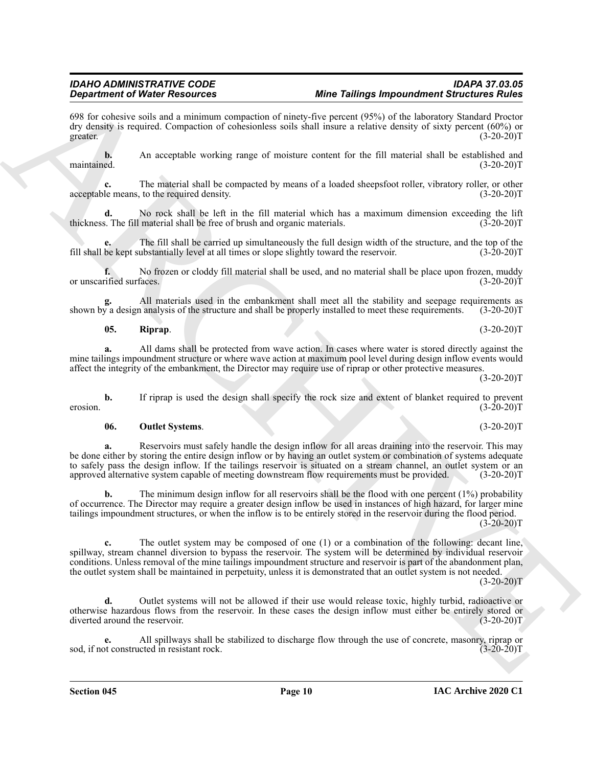**e.** All spillways shall be stabilized to discharge flow through the use of concrete, masonry, riprap or ot constructed in resistant rock. (3-20-20)

**Section 045 Page 10**

## **d.** Outlet systems will not be allowed if their use would release toxic, highly turbid, radioactive or otherwise hazardous flows from the reservoir. In these cases the design inflow must either be entirely stored or diverted around the reservoir. (3-20-20)T

**c.** The outlet system may be composed of one (1) or a combination of the following: decant line, spillway, stream channel diversion to bypass the reservoir. The system will be determined by individual reservoir conditions. Unless removal of the mine tailings impoundment structure and reservoir is part of the abandonment plan, the outlet system shall be maintained in perpetuity, unless it is demonstrated that an outlet system is not needed.

**Strainer of Water Associates Construction** Water Tailorns ( $\theta$ ) and the strainer of Water Construction Strainer ( $\theta$ ) and the strainer of Strainer of Strainer ( $\theta$ ) and the strainer of Strainer of Strainer of Strainer to safely pass the design inflow. If the tailings reservoir is situated on a stream channel, an outlet system or an approved alternative system capable of meeting downstream flow requirements must be provided. (3-20-20)T **b.** The minimum design inflow for all reservoirs shall be the flood with one percent (1%) probability of occurrence. The Director may require a greater design inflow be used in instances of high hazard, for larger mine

tailings impoundment structures, or when the inflow is to be entirely stored in the reservoir during the flood period.

**06. Outlet Systems**. (3-20-20)T **a.** Reservoirs must safely handle the design inflow for all areas draining into the reservoir. This may be done either by storing the entire design inflow or by having an outlet system or combination of systems adequate

mine tailings impoundment structure or where wave action at maximum pool level during design inflow events would affect the integrity of the embankment, the Director may require use of riprap or other protective measures.  $(3-20-20)T$ 

shown by a design analysis of the structure and shall be properly installed to meet these requirements.

All materials used in the embankment shall meet all the stability and seepage requirements as a nalysis of the structure and shall be properly installed to meet these requirements. (3-20-20)<sup>T</sup>

**05. Riprap**. (3-20-20)T

or unscarified surfaces. (3-20-20)T

**f.** No frozen or cloddy fill material shall be used, and no material shall be place upon frozen, muddy

fill shall be kept substantially level at all times or slope slightly toward the reservoir. (3-20-20)T

maintained. (3-20-20)T

acceptable means, to the required density. (3-20-20)T

**c.** The material shall be compacted by means of a loaded sheepsfoot roller, vibratory roller, or other

**d.** No rock shall be left in the fill material which has a maximum dimension exceeding the lift s. The fill material shall be free of brush and organic materials. (3-20-20)

**e.** The fill shall be carried up simultaneously the full design width of the structure, and the top of the

# <span id="page-9-1"></span>**a.** All dams shall be protected from wave action. In cases where water is stored directly against the

**b.** If riprap is used the design shall specify the rock size and extent of blanket required to prevent (3-20-20) erosion. (3-20-20)T

<span id="page-9-0"></span>

## dry density is required. Compaction of cohesionless soils shall insure a relative density of sixty percent (60%) or

greater.  $(3-20-20)T$ **b.** An acceptable working range of moisture content for the fill material shall be established and

*Mine Tailings Impoundment Structures Rules* 698 for cohesive soils and a minimum compaction of ninety-five percent (95%) of the laboratory Standard Proctor

thickness. The fill material shall be free of brush and organic materials.

sod, if not constructed in resistant rock.

 $(3-20-20)T$ 

 $(3-20-20)T$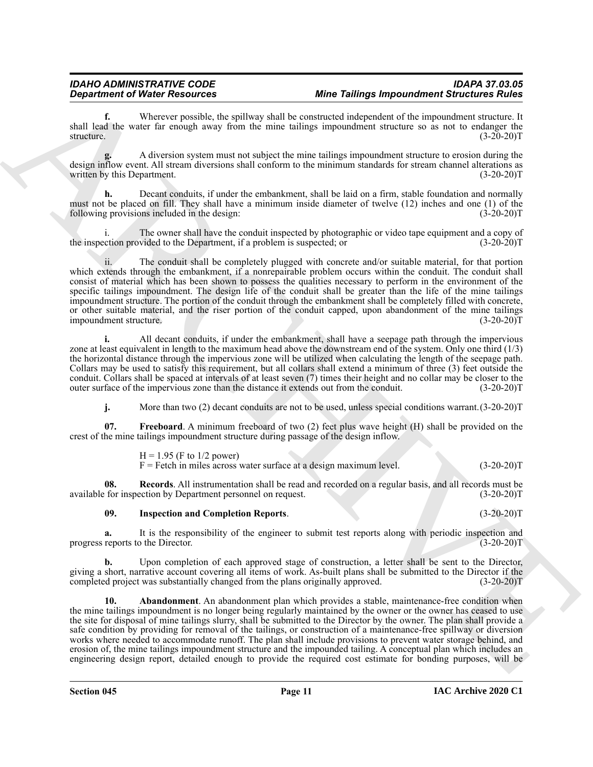**f.** Wherever possible, the spillway shall be constructed independent of the impoundment structure. It shall lead the water far enough away from the mine tailings impoundment structure so as not to endanger the structure. (3-20-20)T

**g.** A diversion system must not subject the mine tailings impoundment structure to erosion during the design inflow event. All stream diversions shall conform to the minimum standards for stream channel alterations as written by this Department. (3-20-20) written by this Department.

**h.** Decant conduits, if under the embankment, shall be laid on a firm, stable foundation and normally must not be placed on fill. They shall have a minimum inside diameter of twelve (12) inches and one (1) of the following provisions included in the design: (3-20-20)T

i. The owner shall have the conduit inspected by photographic or video tape equipment and a copy of the inspection provided to the Department, if a problem is suspected; or (3-20-20)T

ii. The conduit shall be completely plugged with concrete and/or suitable material, for that portion which extends through the embankment, if a nonrepairable problem occurs within the conduit. The conduit shall consist of material which has been shown to possess the qualities necessary to perform in the environment of the specific tailings impoundment. The design life of the conduit shall be greater than the life of the mine tailings impoundment structure. The portion of the conduit through the embankment shall be completely filled with concrete, or other suitable material, and the riser portion of the conduit capped, upon abandonment of the mine tailings<br>impoundment structure. (3-20-20)T impoundment structure.

**i.** All decant conduits, if under the embankment, shall have a seepage path through the impervious zone at least equivalent in length to the maximum head above the downstream end of the system. Only one third (1/3) the horizontal distance through the impervious zone will be utilized when calculating the length of the seepage path. Collars may be used to satisfy this requirement, but all collars shall extend a minimum of three (3) feet outside the conduit. Collars shall be spaced at intervals of at least seven (7) times their height and no collar may be closer to the outer surface of the impervious zone than the distance it extends out from the conduit. (3-20-20)T

<span id="page-10-1"></span>**j.** More than two (2) decant conduits are not to be used, unless special conditions warrant.  $(3-20-20)$ T

**07. Freeboard**. A minimum freeboard of two (2) feet plus wave height (H) shall be provided on the crest of the mine tailings impoundment structure during passage of the design inflow.

> <span id="page-10-3"></span> $H = 1.95$  (F to 1/2 power)  $F =$  Fetch in miles across water surface at a design maximum level. (3-20-20) $T =$

**08.** Records. All instrumentation shall be read and recorded on a regular basis, and all records must be for inspection by Department personnel on request. (3-20-20) available for inspection by Department personnel on request.

## <span id="page-10-2"></span>**09. Inspection and Completion Reports**. (3-20-20)T

**a.** It is the responsibility of the engineer to submit test reports along with periodic inspection and reports to the Director.  $(3-20-20)T$ progress reports to the Director.

<span id="page-10-0"></span>**b.** Upon completion of each approved stage of construction, a letter shall be sent to the Director, giving a short, narrative account covering all items of work. As-built plans shall be submitted to the Director if the completed project was substantially changed from the plans originally approved. (3-20-20) completed project was substantially changed from the plans originally approved.

**Department of Water Resources** the total Merici Falling important British control in the second state is the second state in the second state is the second state in the second state is the second state in the second stat **10. Abandonment**. An abandonment plan which provides a stable, maintenance-free condition when the mine tailings impoundment is no longer being regularly maintained by the owner or the owner has ceased to use the site for disposal of mine tailings slurry, shall be submitted to the Director by the owner. The plan shall provide a safe condition by providing for removal of the tailings, or construction of a maintenance-free spillway or diversion works where needed to accommodate runoff. The plan shall include provisions to prevent water storage behind, and erosion of, the mine tailings impoundment structure and the impounded tailing. A conceptual plan which includes an engineering design report, detailed enough to provide the required cost estimate for bonding purposes, will be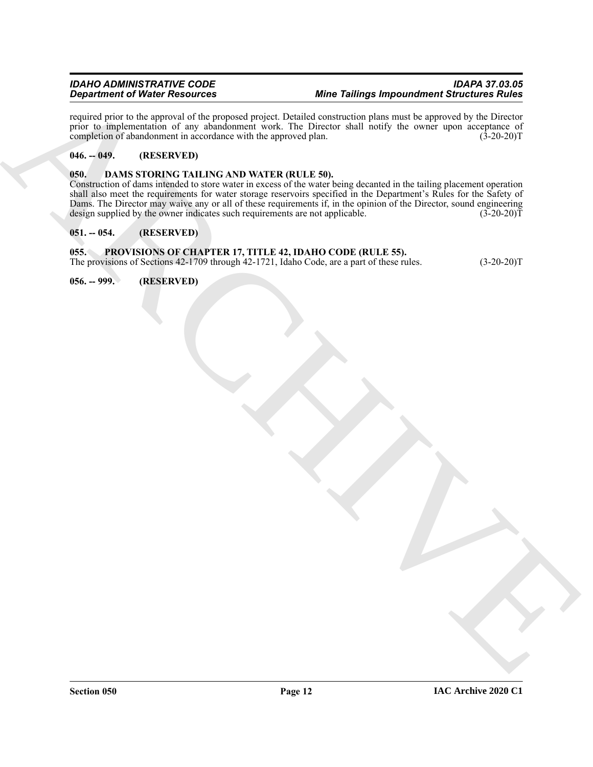## *IDAHO ADMINISTRATIVE CODE IDAPA 37.03.05* **Mine Tailings Impoundment Structures Rules**

required prior to the approval of the proposed project. Detailed construction plans must be approved by the Director prior to implementation of any abandonment work. The Director shall notify the owner upon acceptance of completion of abandonment in accordance with the approved plan. (3-20-20)T

## <span id="page-11-0"></span>**046. -- 049. (RESERVED)**

## <span id="page-11-5"></span><span id="page-11-1"></span>**050. DAMS STORING TAILING AND WATER (RULE 50).**

*Distribution of Winds Procedures Control and the Children Control and Windows State Children Control and The Children Children Control and The Children Control and The Children Control and The Children Control and The Ch* Construction of dams intended to store water in excess of the water being decanted in the tailing placement operation shall also meet the requirements for water storage reservoirs specified in the Department's Rules for the Safety of Dams. The Director may waive any or all of these requirements if, in the opinion of the Director, sound engineering design supplied by the owner indicates such requirements are not applicable. (3-20-20) design supplied by the owner indicates such requirements are not applicable.

## <span id="page-11-2"></span>**051. -- 054. (RESERVED)**

## <span id="page-11-3"></span>**055. PROVISIONS OF CHAPTER 17, TITLE 42, IDAHO CODE (RULE 55).**

The provisions of Sections 42-1709 through 42-1721, Idaho Code, are a part of these rules. (3-20-20)T

<span id="page-11-4"></span>**056. -- 999. (RESERVED)**